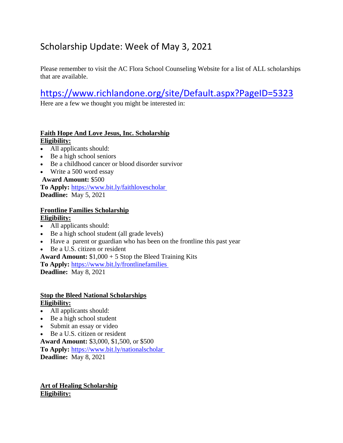# Scholarship Update: Week of May 3, 2021

Please remember to visit the AC Flora School Counseling Website for a list of ALL scholarships that are available.

# <https://www.richlandone.org/site/Default.aspx?PageID=5323>

Here are a few we thought you might be interested in:

### **Faith Hope And Love Jesus, Inc. Scholarship Eligibility:**

- All applicants should:
- Be a high school seniors
- Be a childhood cancer or blood disorder survivor
- Write a 500 word essay

# **Award Amount:** \$500

**To Apply:** [https://www.bit.ly/faithlovescholar](https://www.opploans.com/oppu/scholarship/)

**Deadline:** May 5, 2021

### **Frontline Families Scholarship Eligibility:**

- All applicants should:
- Be a high school student (all grade levels)
- Have a parent or guardian who has been on the frontline this past year
- Be a U.S. citizen or resident

**Award Amount:** \$1,000 + 5 Stop the Bleed Training Kits

**To Apply:** <https://www.bit.ly/frontlinefamilies>

**Deadline:** May 8, 2021

### **Stop the Bleed National Scholarships Eligibility:**

- All applicants should:
- Be a high school student
- Submit an essay or video
- Be a U.S. citizen or resident

**Award Amount:** \$3,000, \$1,500, or \$500 **To Apply:** <https://www.bit.ly/nationalscholar> **Deadline:** May 8, 2021

**Art of Healing Scholarship Eligibility:**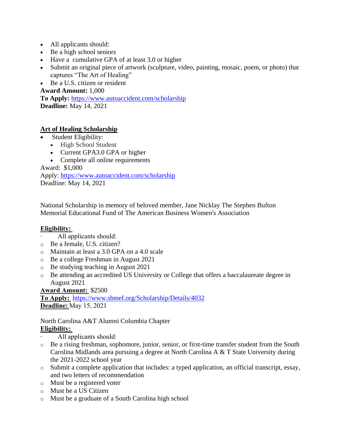- All applicants should:
- Be a high school seniors
- Have a cumulative GPA of at least 3.0 or higher
- Submit an original piece of artwork (sculpture, video, painting, mosaic, poem, or photo) that captures "The Art of Healing"
- Be a U.S. citizen or resident

### **Award Amount:** 1,000

**To Apply:** https://www.autoaccident.com/scholarship **Deadline:** May 14, 2021

### **Art of Healing Scholarship**

- Student Eligibility:
	- High School Student
	- Current GPA3.0 GPA or higher
	- Complete all online requirements

Award: \$1,000

Apply: <https://www.autoaccident.com/scholarship> Deadline: May 14, 2021

National Scholarship in memory of beloved member, Jane Nicklay The Stephen Bufton Memorial Educational Fund of The American Business Women's Association

### **Eligibility:**

- All applicants should:
- o Be a female, U.S. citizen?
- o Maintain at least a 3.0 GPA on a 4.0 scale
- o Be a college Freshman in August 2021
- o Be studying teaching in August 2021
- o Be attending an accredited US University or College that offers a baccalaureate degree in August 2021

### **Award Amount:** \$2500

**To Apply:** <https://www.sbmef.org/Scholarship/Details/4032> **Deadline:**May 15, 2021 

North Carolina A&T Alumni Columbia Chapter **Eligibility:**

- All applicants should:
- o Be a rising freshman, sophomore, junior, senior, or first-time transfer student from the South Carolina Midlands area pursuing a degree at North Carolina A & T State University during the 2021-2022 school year
- o Submit a complete application that includes: a typed application, an official transcript, essay, and two letters of recommendation
- o Must be a registered voter
- o Must be a US Citizen
- o Must be a graduate of a South Carolina high school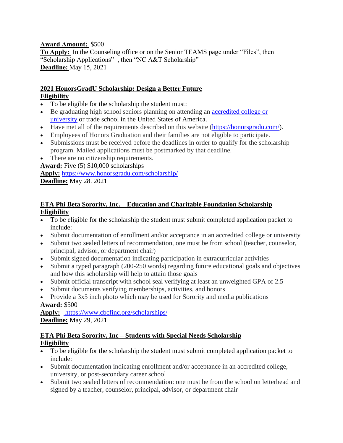### **Award Amount:** \$500

**To Apply:** [In](https://www.sbmef.org/Scholarship/Details/4032) the Counseling office or on the Senior TEAMS page under "Files", then "Scholarship Applications" , then "NC A&T Scholarship" **Deadline:**May 15, 2021 

#### **2021 HonorsGradU Scholarship: Design a Better Future Eligibility**

- To be eligible for the scholarship the student must:
- Be graduating high school seniors planning on attending an [accredited college or](http://ope.ed.gov/accreditation/Search.aspx)  [university](http://ope.ed.gov/accreditation/Search.aspx) or trade school in the United States of America.
- Have met all of the requirements described on this website [\(https://honorsgradu.com/\)](https://honorsgradu.com/).
- Employees of Honors Graduation and their families are not eligible to participate.
- Submissions must be received before the deadlines in order to qualify for the scholarship program. Mailed applications must be postmarked by that deadline.
- There are no citizenship requirements.

**Award:** Five (5) \$10,000 scholarships

**Apply:** <https://www.honorsgradu.com/scholarship/>

**Deadline:** May 28. 2021

### **ETA Phi Beta Sorority, Inc. – Education and Charitable Foundation Scholarship Eligibility**

- To be eligible for the scholarship the student must submit completed application packet to include:
- Submit documentation of enrollment and/or acceptance in an accredited college or university
- Submit two sealed letters of recommendation, one must be from school (teacher, counselor, principal, advisor, or department chair)
- Submit signed documentation indicating participation in extracurricular activities
- Submit a typed paragraph (200-250 words) regarding future educational goals and objectives and how this scholarship will help to attain those goals
- Submit official transcript with school seal verifying at least an unweighted GPA of 2.5
- Submit documents verifying memberships, activities, and honors
- Provide a 3x5 inch photo which may be used for Sorority and media publications **Award:** \$500

**Apply:** <https://www.cbcfinc.org/scholarships/> **Deadline:** May 29, 2021

### **ETA Phi Beta Sorority, Inc – Students with Special Needs Scholarship Eligibility**

- To be eligible for the scholarship the student must submit completed application packet to include:
- Submit documentation indicating enrollment and/or acceptance in an accredited college, university, or post-secondary career school
- Submit two sealed letters of recommendation: one must be from the school on letterhead and signed by a teacher, counselor, principal, advisor, or department chair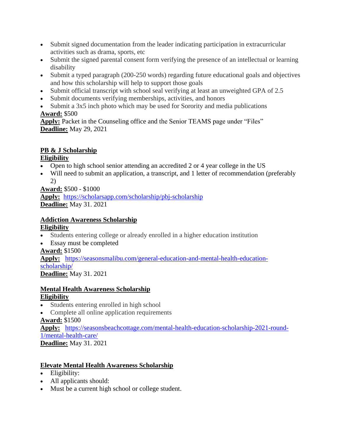- Submit signed documentation from the leader indicating participation in extracurricular activities such as drama, sports, etc
- Submit the signed parental consent form verifying the presence of an intellectual or learning disability
- Submit a typed paragraph (200-250 words) regarding future educational goals and objectives and how this scholarship will help to support those goals
- Submit official transcript with school seal verifying at least an unweighted GPA of 2.5
- Submit documents verifying memberships, activities, and honors
- Submit a 3x5 inch photo which may be used for Sorority and media publications

# **Award:** \$500

**Apply:** Packet in the Counseling office and the Senior TEAMS page under "Files" **Deadline:** May 29, 2021

# **PB & J Scholarship**

### **Eligibility**

- Open to high school senior attending an accredited 2 or 4 year college in the US
- Will need to submit an application, a transcript, and 1 letter of recommendation (preferably 2)

**Award:** \$500 - \$1000

**Apply:** <https://scholarsapp.com/scholarship/pbj-scholarship> **Deadline:** May 31. 2021

### **Addiction Awareness Scholarship Eligibility**

- Students entering college or already enrolled in a higher education institution
- Essay must be completed

### **Award:** \$1500

**Apply:** [https://seasonsmalibu.com/general-education-and-mental-health-education](https://seasonsmalibu.com/general-education-and-mental-health-education-scholarship/)[scholarship/](https://seasonsmalibu.com/general-education-and-mental-health-education-scholarship/) 

**Deadline:** May 31. 2021

### **Mental Health Awareness Scholarship Eligibility**

- Students entering enrolled in high school
- Complete all online application requirements

# **Award:** \$1500

**Apply:** [https://seasonsbeachcottage.com/mental-health-education-scholarship-2021-round-](https://seasonsbeachcottage.com/mental-health-education-scholarship-2021-round-1/mental-health-care/)[1/mental-health-care/](https://seasonsbeachcottage.com/mental-health-education-scholarship-2021-round-1/mental-health-care/)

**Deadline:** May 31. 2021

# **Elevate Mental Health Awareness Scholarship**

- Eligibility:
- All applicants should:
- Must be a current high school or college student.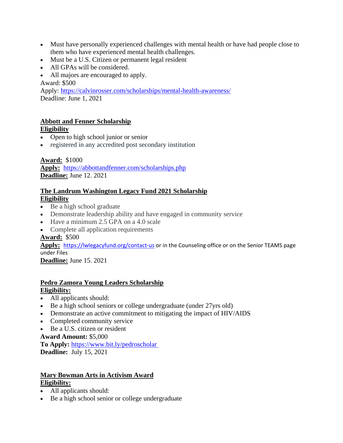- Must have personally experienced challenges with mental health or have had people close to them who have experienced mental health challenges.
- Must be a U.S. Citizen or permanent legal resident
- All GPAs will be considered.
- All majors are encouraged to apply.

Award: \$500

Apply: <https://calvinrosser.com/scholarships/mental-health-awareness/> Deadline: June 1, 2021

#### **Abbott and Fenner Scholarship Eligibility**

- Open to high school junior or senior
- registered in any accredited post secondary institution

### **Award:** \$1000

**Apply:** <https://abbottandfenner.com/scholarships.php> **Deadline:** June 12. 2021

### **The Landrum Washington Legacy Fund 2021 Scholarship Eligibility**

- Be a high school graduate
- Demonstrate leadership ability and have engaged in community service
- Have a minimum 2.5 GPA on a 4.0 scale
- Complete all application requirements

### **Award:** \$500

**Apply:** <https://lwlegacyfund.org/contact-us> or in the Counseling office or on the Senior TEAMS page under Files

**Deadline:** June 15. 2021

### **Pedro Zamora Young Leaders Scholarship Eligibility:**

- All applicants should:
- Be a high school seniors or college undergraduate (under 27yrs old)
- Demonstrate an active commitment to mitigating the impact of HIV/AIDS
- Completed community service
- Be a U.S. citizen or resident

### **Award Amount:** \$5,000

**To Apply:** <https://www.bit.ly/pedroscholar> **Deadline:** July 15, 2021

### **Mary Bowman Arts in Activism Award Eligibility:**

- All applicants should:
- Be a high school senior or college undergraduate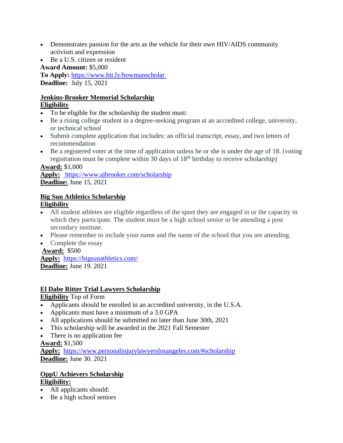- Demonstrates passion for the arts as the vehicle for their own HIV/AIDS community activism and expression
- Be a U.S. citizen or resident

**Award Amount:** \$5,000

**To Apply:** <https://www.bit.ly/bowmanscholar> **Deadline:** July 15, 2021

### **Jenkins-Brooker Memorial Scholarship Eligibility**

- To be eligible for the scholarship the student must:
- Be a rising college student in a degree-seeking program at an accredited college, university, or technical school
- Submit complete application that includes: an official transcript, essay, and two letters of recommendation
- Be a registered voter at the time of application unless he or she is under the age of 18. (voting registration must be complete within 30 days of  $18<sup>th</sup>$  birthday to receive scholarship)

### **Award:** \$1,000

**Apply:** <https://www.ajbrooker.com/scholarship> **Deadline:** June 15, 2021

# **Big Sun Athletics Scholarship**

### **Eligibility**

- All student athletes are eligible regardless of the sport they are engaged in or the capacity in which they participate. The student must be a high school senior or be attending a post secondary institute.
- Please remember to include your name and the name of the school that you are attending.
- Complete the essay

#### **Award:** \$500 **Apply:** <https://bigsunathletics.com/> **Deadline:** June 19. 2021

# **El Dabe Ritter Trial Lawyers Scholarship**

### **Eligibility** Top of Form

- Applicants should be enrolled in an accredited university, in the U.S.A.
- Applicants must have a minimum of a 3.0 GPA
- All applications should be submitted no later than June 30th, 2021
- This scholarship will be awarded in the 2021 Fall Semester
- There is no application fee

### **Award:** \$1,500

**Apply:** <https://www.personalinjurylawyerslosangeles.com/#scholarship> **Deadline:** June 30. 2021

### **OppU Achievers Scholarship Eligibility:**

- All applicants should:
- Be a high school seniors